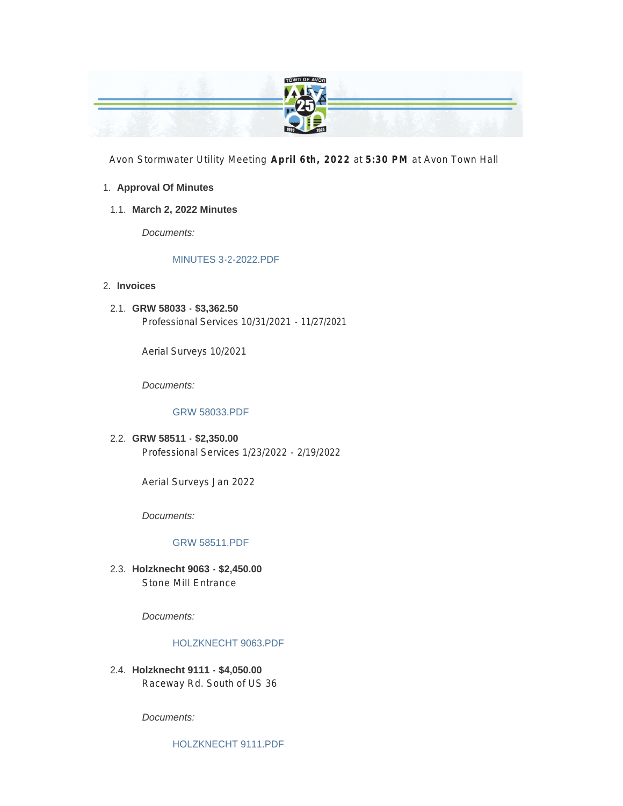

Avon Stormwater Utility Meeting **April 6th, 2022** at **5:30 PM** at Avon Town Hall

#### **Approval Of Minutes** 1.

#### **March 2, 2022 Minutes** 1.1.

*Documents:*

#### MINUTES 3-2-2022.PDF

#### **Invoices** 2.

**GRW 58033 - \$3,362.50** 2.1. Professional Services 10/31/2021 - 11/27/2021

Aerial Surveys 10/2021

*Documents:*

#### GRW 58033.PDF

#### **GRW 58511 - \$2,350.00** 2.2.

Professional Services 1/23/2022 - 2/19/2022

Aerial Surveys Jan 2022

*Documents:*

#### GRW 58511.PDF

**Holzknecht 9063 - \$2,450.00** 2.3. Stone Mill Entrance

*Documents:*

#### HOLZKNECHT 9063.PDF

**Holzknecht 9111 - \$4,050.00** 2.4. Raceway Rd. South of US 36

*Documents:*

HOLZKNECHT 9111.PDF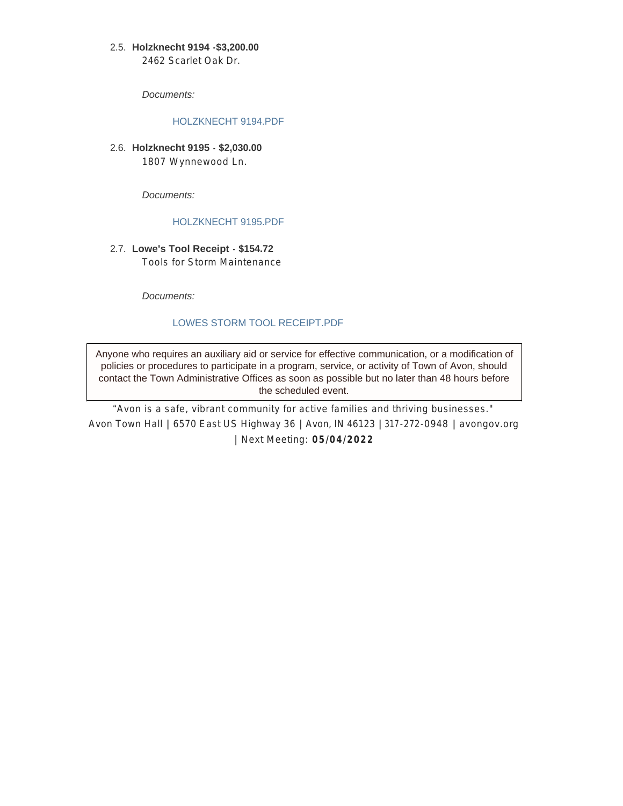#### **Holzknecht 9194 -\$3,200.00** 2.5.

2462 Scarlet Oak Dr.

*Documents:*

#### HOLZKNECHT 9194.PDF

**Holzknecht 9195 - \$2,030.00** 2.6. 1807 Wynnewood Ln.

*Documents:*

#### HOLZKNECHT 9195.PDF

**Lowe's Tool Receipt - \$154.72** 2.7. Tools for Storm Maintenance

*Documents:*

### LOWES STORM TOOL RECEIPT.PDF

Anyone who requires an auxiliary aid or service for effective communication, or a modification of policies or procedures to participate in a program, service, or activity of Town of Avon, should contact the Town Administrative Offices as soon as possible but no later than 48 hours before the scheduled event.

"*Avon is a safe, vibrant community for active families and thriving businesses."* Avon Town Hall **|** 6570 East US Highway 36 **|** Avon, IN 46123 **|** 317-272-0948 **|** avongov.org **|** Next Meeting: **05/04/2022**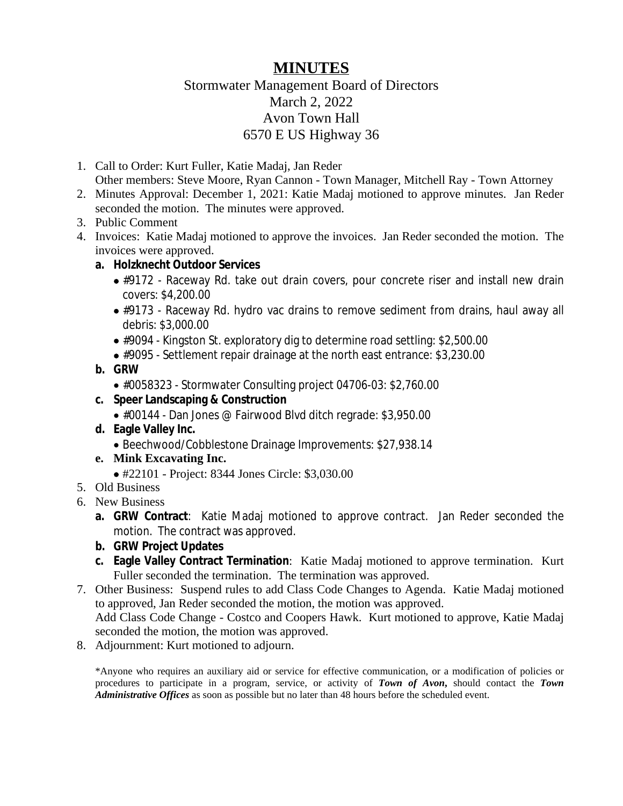### **MINUTES**

### Stormwater Management Board of Directors March 2, 2022 Avon Town Hall 6570 E US Highway 36

- 1. Call to Order: Kurt Fuller, Katie Madaj, Jan Reder Other members: Steve Moore, Ryan Cannon - Town Manager, Mitchell Ray - Town Attorney
- 2. Minutes Approval: December 1, 2021: Katie Madaj motioned to approve minutes. Jan Reder seconded the motion. The minutes were approved.
- 3. Public Comment
- 4. Invoices: Katie Madaj motioned to approve the invoices. Jan Reder seconded the motion. The invoices were approved.
	- **a. Holzknecht Outdoor Services**
		- #9172 Raceway Rd. take out drain covers, pour concrete riser and install new drain covers: \$4,200.00
		- #9173 Raceway Rd. hydro vac drains to remove sediment from drains, haul away all debris: \$3,000.00
		- #9094 Kingston St. exploratory dig to determine road settling: \$2,500.00
		- #9095 Settlement repair drainage at the north east entrance: \$3,230.00
	- **b. GRW**
		- #0058323 Stormwater Consulting project 04706-03: \$2,760.00
	- **c. Speer Landscaping & Construction**
		- #00144 Dan Jones @ Fairwood Blvd ditch regrade: \$3,950.00
	- **d. Eagle Valley Inc.**
		- Beechwood/Cobblestone Drainage Improvements: \$27,938.14
	- **e. Mink Excavating Inc.**
		- #22101 Project: 8344 Jones Circle: \$3,030.00
- 5. Old Business
- 6. New Business
	- **a. GRW Contract**: Katie Madaj motioned to approve contract. Jan Reder seconded the motion. The contract was approved.
	- **b. GRW Project Updates**
	- **c. Eagle Valley Contract Termination**: Katie Madaj motioned to approve termination. Kurt Fuller seconded the termination. The termination was approved.
- 7. Other Business: Suspend rules to add Class Code Changes to Agenda. Katie Madaj motioned to approved, Jan Reder seconded the motion, the motion was approved. Add Class Code Change - Costco and Coopers Hawk. Kurt motioned to approve, Katie Madaj

seconded the motion, the motion was approved.

8. Adjournment: Kurt motioned to adjourn.

\*Anyone who requires an auxiliary aid or service for effective communication, or a modification of policies or procedures to participate in a program, service, or activity of *Town of Avon***,** should contact the *Town Administrative Offices* as soon as possible but no later than 48 hours before the scheduled event.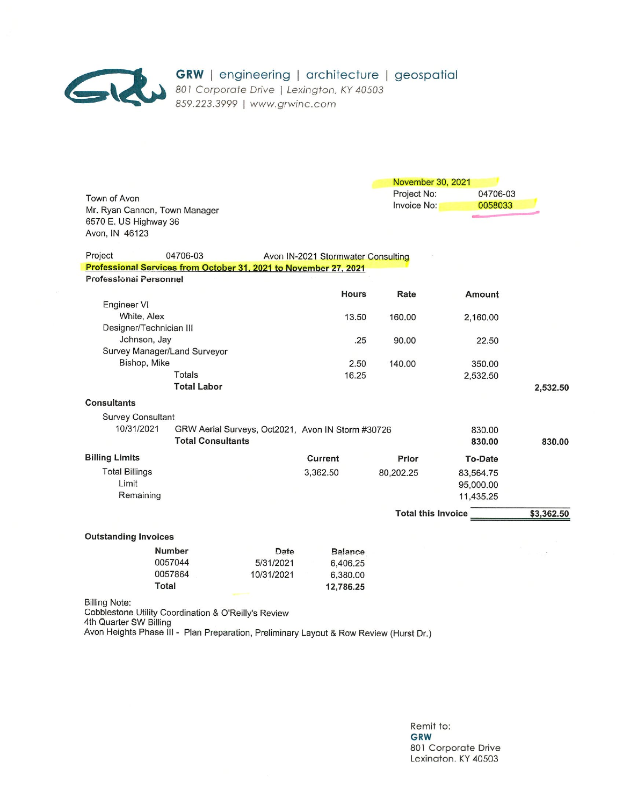

 $\tilde{\mathbf{e}}$ 

GRW | engineering | architecture | geospatial<br>801 Corporate Drive | Lexington, KY 40503<br>859.223.3999 | www.grwinc.com

|                                                                              |                                                   |                           | November 30, 2021 |            |
|------------------------------------------------------------------------------|---------------------------------------------------|---------------------------|-------------------|------------|
| Town of Avon                                                                 |                                                   | Project No:               | 04706-03          |            |
| Mr. Ryan Cannon, Town Manager                                                |                                                   | Invoice No:               | 0058033           |            |
| 6570 E. US Highway 36                                                        |                                                   |                           |                   |            |
| Avon, IN 46123                                                               |                                                   |                           |                   |            |
|                                                                              |                                                   |                           |                   |            |
| Project<br>04706-03                                                          | Avon IN-2021 Stormwater Consulting                |                           |                   |            |
| Professional Services from October 31, 2021 to November 27, 2021             |                                                   |                           |                   |            |
| <b>Professional Personnel</b>                                                |                                                   |                           |                   |            |
|                                                                              | <b>Hours</b>                                      | Rate                      | <b>Amount</b>     |            |
| Engineer VI                                                                  |                                                   |                           |                   |            |
| White, Alex                                                                  | 13.50                                             | 160.00                    | 2,160.00          |            |
| Designer/Technician III                                                      |                                                   |                           |                   |            |
| Johnson, Jay                                                                 | .25                                               | 90.00                     | 22.50             |            |
| Survey Manager/Land Surveyor                                                 |                                                   |                           |                   |            |
| Bishop, Mike                                                                 | 2.50                                              | 140.00                    | 350.00            |            |
| <b>Totals</b>                                                                | 16.25                                             |                           | 2,532.50          |            |
| <b>Total Labor</b>                                                           |                                                   |                           |                   | 2,532.50   |
| <b>Consultants</b>                                                           |                                                   |                           |                   |            |
| <b>Survey Consultant</b>                                                     |                                                   |                           |                   |            |
| 10/31/2021                                                                   | GRW Aerial Surveys, Oct2021, Avon IN Storm #30726 |                           | 830.00            |            |
| <b>Total Consultants</b>                                                     |                                                   |                           | 830.00            | 830.00     |
| <b>Billing Limits</b>                                                        | Current                                           | Prior                     | <b>To-Date</b>    |            |
| <b>Total Billings</b>                                                        | 3,362.50                                          | 80,202.25                 | 83,564.75         |            |
| Limit                                                                        |                                                   |                           | 95,000.00         |            |
| Remaining                                                                    |                                                   |                           | 11,435.25         |            |
|                                                                              |                                                   |                           |                   |            |
|                                                                              |                                                   | <b>Total this Invoice</b> |                   | \$3,362.50 |
| <b>Outstanding Invoices</b>                                                  |                                                   |                           |                   |            |
| <b>Number</b>                                                                | Date<br><b>Balance</b>                            |                           |                   |            |
| 0057044                                                                      | 5/31/2021<br>6,406.25                             |                           |                   |            |
| 0057864                                                                      | 10/31/2021<br>6,380.00                            |                           |                   |            |
| <b>Total</b>                                                                 | 12,786.25                                         |                           |                   |            |
| <b>Billing Note:</b><br>Cobblestone Utility Coordination & O'Reilly's Review |                                                   |                           |                   |            |

4th Quarter SW Billing

Avon Heights Phase III - Plan Preparation, Preliminary Layout & Row Review (Hurst Dr.)

Remit to: **GRW** 801 Corporate Drive Lexinaton. KY 40503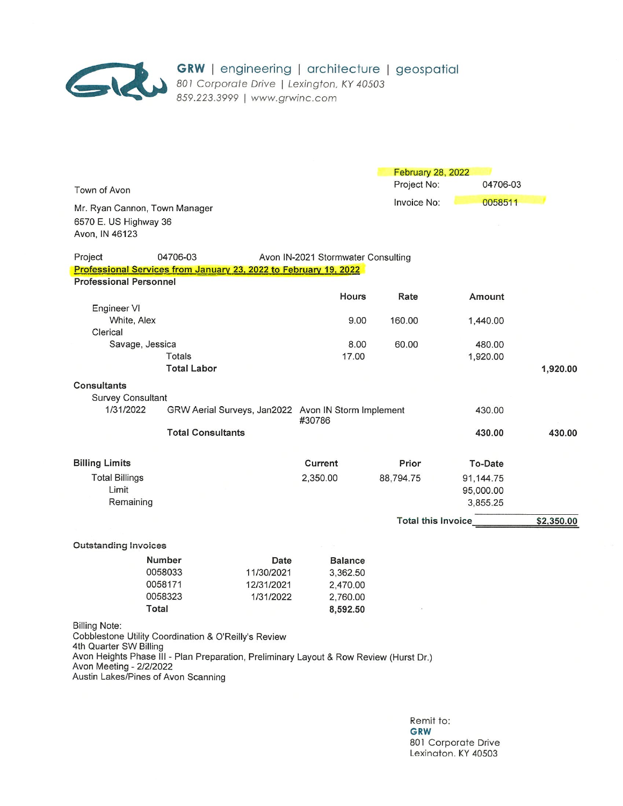

|                                                                                                                                                                                                                                                             |                                         |                                               |                                                                | February 28, 2022   |                                    |            |
|-------------------------------------------------------------------------------------------------------------------------------------------------------------------------------------------------------------------------------------------------------------|-----------------------------------------|-----------------------------------------------|----------------------------------------------------------------|---------------------|------------------------------------|------------|
| Town of Avon                                                                                                                                                                                                                                                |                                         |                                               |                                                                | Project No:         | 04706-03                           |            |
| Mr. Ryan Cannon, Town Manager<br>6570 E. US Highway 36<br>Avon, IN 46123                                                                                                                                                                                    |                                         |                                               |                                                                | Invoice No:         | 0058511                            |            |
| Project                                                                                                                                                                                                                                                     | 04706-03                                |                                               | Avon IN-2021 Stormwater Consulting                             |                     |                                    |            |
| Professional Services from January 23, 2022 to February 19, 2022                                                                                                                                                                                            |                                         |                                               |                                                                |                     |                                    |            |
| <b>Professional Personnel</b>                                                                                                                                                                                                                               |                                         |                                               |                                                                |                     |                                    |            |
|                                                                                                                                                                                                                                                             |                                         |                                               | Hours                                                          | Rate                | Amount                             |            |
| Engineer VI<br>White, Alex<br>Clerical                                                                                                                                                                                                                      |                                         |                                               | 9.00                                                           | 160.00              | 1,440.00                           |            |
| Savage, Jessica                                                                                                                                                                                                                                             |                                         |                                               | 8.00                                                           | 60.00               | 480.00                             |            |
|                                                                                                                                                                                                                                                             | Totals                                  |                                               | 17.00                                                          |                     | 1,920.00                           |            |
|                                                                                                                                                                                                                                                             | <b>Total Labor</b>                      |                                               |                                                                |                     |                                    | 1,920.00   |
| <b>Consultants</b><br><b>Survey Consultant</b><br>1/31/2022                                                                                                                                                                                                 |                                         |                                               | GRW Aerial Surveys, Jan2022 Avon IN Storm Implement            |                     | 430.00                             |            |
|                                                                                                                                                                                                                                                             |                                         |                                               | #30786                                                         |                     |                                    |            |
|                                                                                                                                                                                                                                                             | <b>Total Consultants</b>                |                                               |                                                                |                     | 430.00                             | 430.00     |
| <b>Billing Limits</b>                                                                                                                                                                                                                                       |                                         |                                               | Current                                                        | Prior               | To-Date                            |            |
| <b>Total Billings</b><br>Limit<br>Remaining                                                                                                                                                                                                                 |                                         |                                               | 2,350.00                                                       | 88,794.75           | 91,144.75<br>95,000.00<br>3,855.25 |            |
|                                                                                                                                                                                                                                                             |                                         |                                               |                                                                | Total this Invoice_ |                                    | \$2,350.00 |
| <b>Outstanding Invoices</b>                                                                                                                                                                                                                                 |                                         |                                               |                                                                |                     |                                    |            |
| Total                                                                                                                                                                                                                                                       | Number<br>0058033<br>0058171<br>0058323 | Date<br>11/30/2021<br>12/31/2021<br>1/31/2022 | <b>Balance</b><br>3,362.50<br>2,470.00<br>2,760.00<br>8,592.50 |                     |                                    |            |
| Billing Note:<br>Cobblestone Utility Coordination & O'Reilly's Review<br>4th Quarter SW Billing<br>Avon Heights Phase III - Plan Preparation, Preliminary Layout & Row Review (Hurst Dr.)<br>Avon Meeting - 2/2/2022<br>Austin Lakes/Pines of Avon Scanning |                                         |                                               |                                                                |                     |                                    |            |

Remit to: GRW 801 Corporate Drive Lexinaton. KY 40503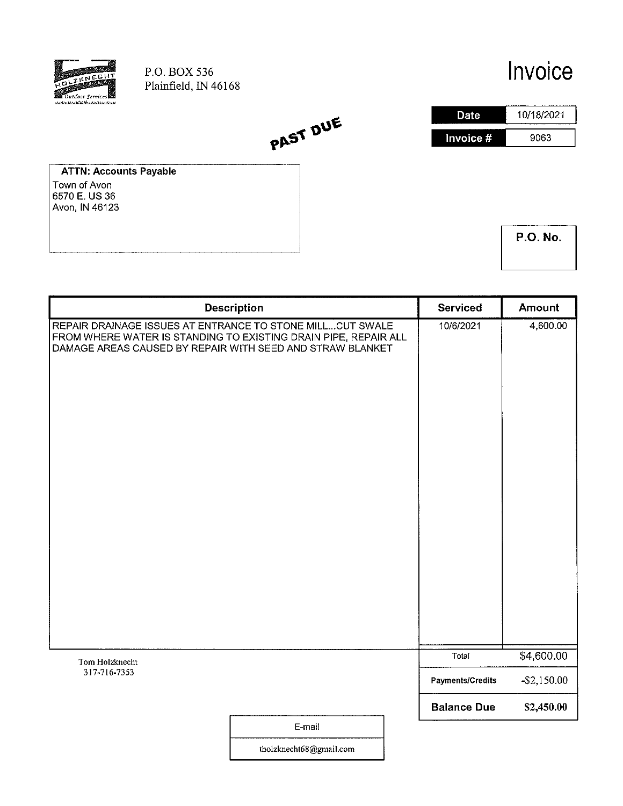

# Invoice



**ATTN: Accounts Payable** Town of Avon 6570 E. US 36 Avon, IN 46123

|  | <b>P.O. No.</b> |
|--|-----------------|
|  |                 |

|                                                                                                                                                                                           | <b>Description</b> | <b>Serviced</b>         | <b>Amount</b>  |
|-------------------------------------------------------------------------------------------------------------------------------------------------------------------------------------------|--------------------|-------------------------|----------------|
| REPAIR DRAINAGE ISSUES AT ENTRANCE TO STONE MILLCUT SWALE<br>FROM WHERE WATER IS STANDING TO EXISTING DRAIN PIPE, REPAIR ALL<br>DAMAGE AREAS CAUSED BY REPAIR WITH SEED AND STRAW BLANKET |                    | 10/6/2021               | 4,600.00       |
|                                                                                                                                                                                           |                    | Total                   | \$4,600.00     |
| Tom Holzknecht<br>317-716-7353                                                                                                                                                            |                    | <b>Payments/Credits</b> | $-$ \$2,150.00 |
|                                                                                                                                                                                           |                    | <b>Balance Due</b>      | \$2,450.00     |
|                                                                                                                                                                                           | E-mail             |                         |                |

PAST DUE

tholzknecht68@gmail.com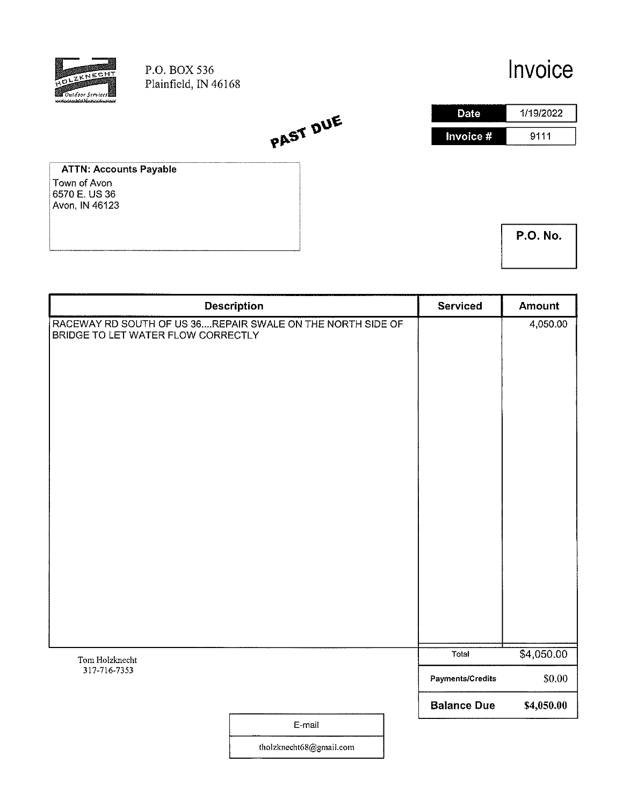

# Invoice



**ATTN: Accounts Payable** Town of Avon<br>6570 E. US 36 Avon, IN 46123

| <b>P.O. No.</b> |  |
|-----------------|--|
|                 |  |

|                                                                                                  | <b>Description</b> | <b>Serviced</b>    | <b>Amount</b> |
|--------------------------------------------------------------------------------------------------|--------------------|--------------------|---------------|
| RACEWAY RD SOUTH OF US 36REPAIR SWALE ON THE NORTH SIDE OF<br>BRIDGE TO LET WATER FLOW CORRECTLY |                    |                    | 4,050.00      |
| Tom Holzknecht                                                                                   |                    | Total              | \$4,050.00    |
| 317-716-7353                                                                                     |                    | Payments/Credits   | \$0.00        |
|                                                                                                  |                    | <b>Balance Due</b> | \$4,050.00    |
|                                                                                                  | E-mail             |                    |               |

tholzknecht68@gmail.com

PAST DUE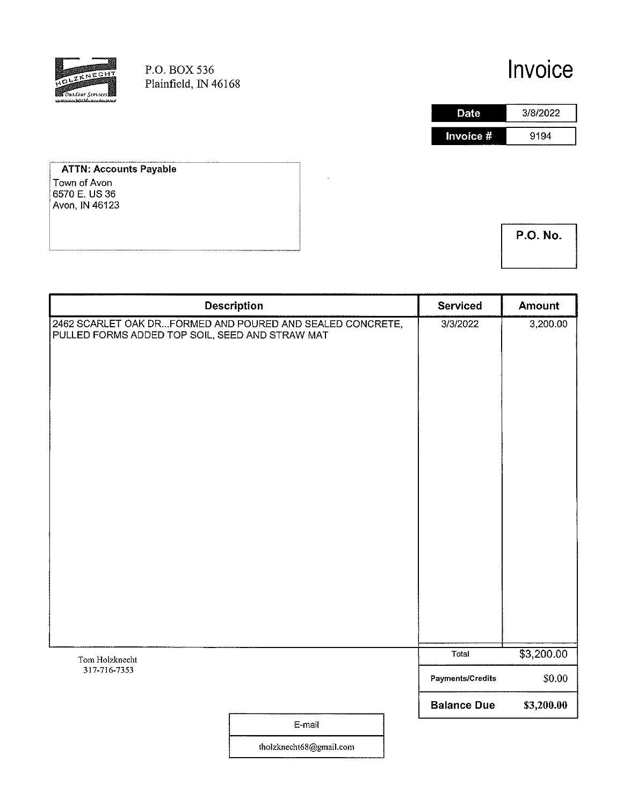

## Invoice

**Date** 3/8/2022 Invoice # 9194

**ATTN: Accounts Payable** Town of Avon  $6570$  E. US 36 Avon, IN 46123

**P.O. No.** 

|                                                                                                              | <b>Description</b> | <b>Serviced</b>         | Amount     |
|--------------------------------------------------------------------------------------------------------------|--------------------|-------------------------|------------|
| 2462 SCARLET OAK DRFORMED AND POURED AND SEALED CONCRETE,<br>PULLED FORMS ADDED TOP SOIL, SEED AND STRAW MAT |                    | 3/3/2022                | 3,200.00   |
| Tom Holzknecht                                                                                               |                    | Total                   | \$3,200.00 |
| 317-716-7353                                                                                                 |                    | <b>Payments/Credits</b> | \$0.00     |
|                                                                                                              | E-mail             | <b>Balance Due</b>      | \$3,200.00 |

tholzknecht68@gmail.com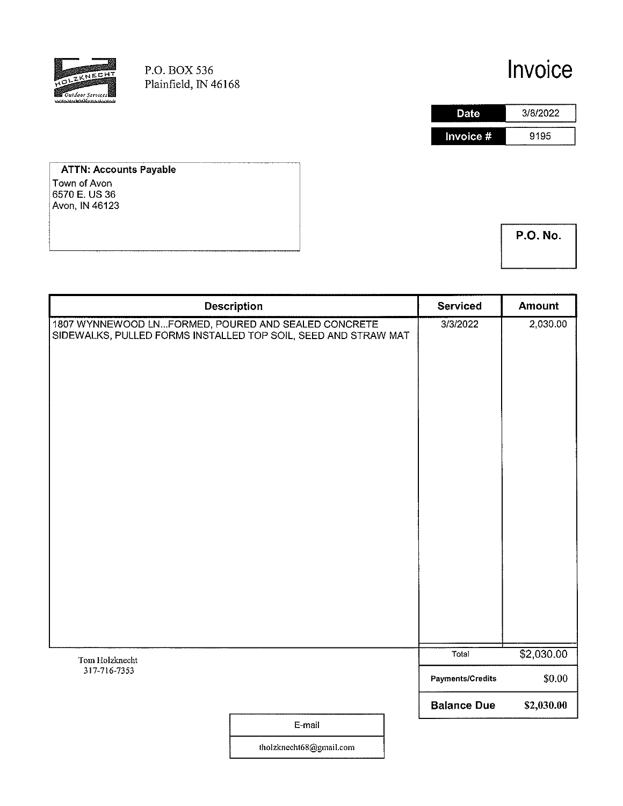

# Invoice



**ATTN: Accounts Payable** Town of Avon<br>6570 E. US 36 Avon, IN 46123

**P.O. No.** 

| <b>Description</b>                                                                                                    |        | <b>Serviced</b>         | <b>Amount</b> |
|-----------------------------------------------------------------------------------------------------------------------|--------|-------------------------|---------------|
| 1807 WYNNEWOOD LNFORMED, POURED AND SEALED CONCRETE<br>SIDEWALKS, PULLED FORMS INSTALLED TOP SOIL, SEED AND STRAW MAT |        | 3/3/2022                | 2,030.00      |
| Tom Holzknecht                                                                                                        |        | Total                   | \$2,030.00    |
| 317-716-7353                                                                                                          |        | <b>Payments/Credits</b> | \$0.00        |
|                                                                                                                       |        | <b>Balance Due</b>      | \$2,030.00    |
|                                                                                                                       | E-mail |                         |               |

tholzknecht68@gmail.com